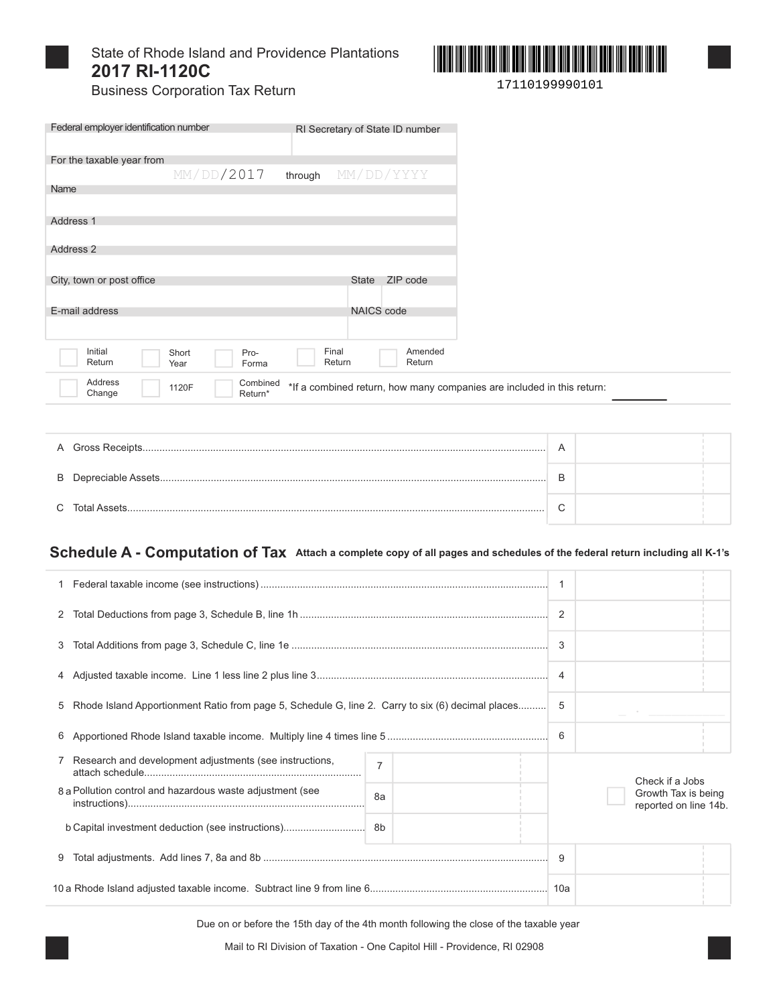

## State of Rhode Island and Providence Plantations 2017 RI-1120C



**Business Corporation Tax Return** 

| Federal employer identification number | RI Secretary of State ID number  |                                                                        |  |
|----------------------------------------|----------------------------------|------------------------------------------------------------------------|--|
| For the taxable year from              |                                  |                                                                        |  |
| MM/DD/2017                             | through                          | MM/DD/YYYY                                                             |  |
| Name                                   |                                  |                                                                        |  |
|                                        |                                  |                                                                        |  |
| Address 1                              |                                  |                                                                        |  |
|                                        |                                  |                                                                        |  |
| Address 2                              |                                  |                                                                        |  |
|                                        |                                  |                                                                        |  |
| City, town or post office              | <b>State</b>                     | ZIP code                                                               |  |
|                                        |                                  |                                                                        |  |
| E-mail address                         |                                  | <b>NAICS</b> code                                                      |  |
|                                        |                                  |                                                                        |  |
|                                        |                                  |                                                                        |  |
| Initial<br>Short<br>Return<br>Year     | Final<br>Pro-<br>Return<br>Forma | Amended<br>Return                                                      |  |
| Address<br>1120F<br>Change             | Combined<br>Return*              | *If a combined return, how many companies are included in this return: |  |

| C. Total Assets | ⌒ |  |
|-----------------|---|--|

#### Schedule A - Computation of Tax Attach a complete copy of all pages and schedules of the federal return including all K-1's

|                                                                                                     | $\overline{2}$ |                                              |
|-----------------------------------------------------------------------------------------------------|----------------|----------------------------------------------|
|                                                                                                     | 3              |                                              |
|                                                                                                     | $\overline{4}$ |                                              |
| 5 Rhode Island Apportionment Ratio from page 5, Schedule G, line 2. Carry to six (6) decimal places | 5              |                                              |
|                                                                                                     | 6              |                                              |
| 7 Research and development adjustments (see instructions,<br>$\overline{7}$                         |                | Check if a Jobs                              |
| 8 a Pollution control and hazardous waste adjustment (see<br>8a                                     |                | Growth Tax is being<br>reported on line 14b. |
|                                                                                                     |                |                                              |
| 9                                                                                                   | 9              |                                              |
|                                                                                                     |                |                                              |

Due on or before the 15th day of the 4th month following the close of the taxable year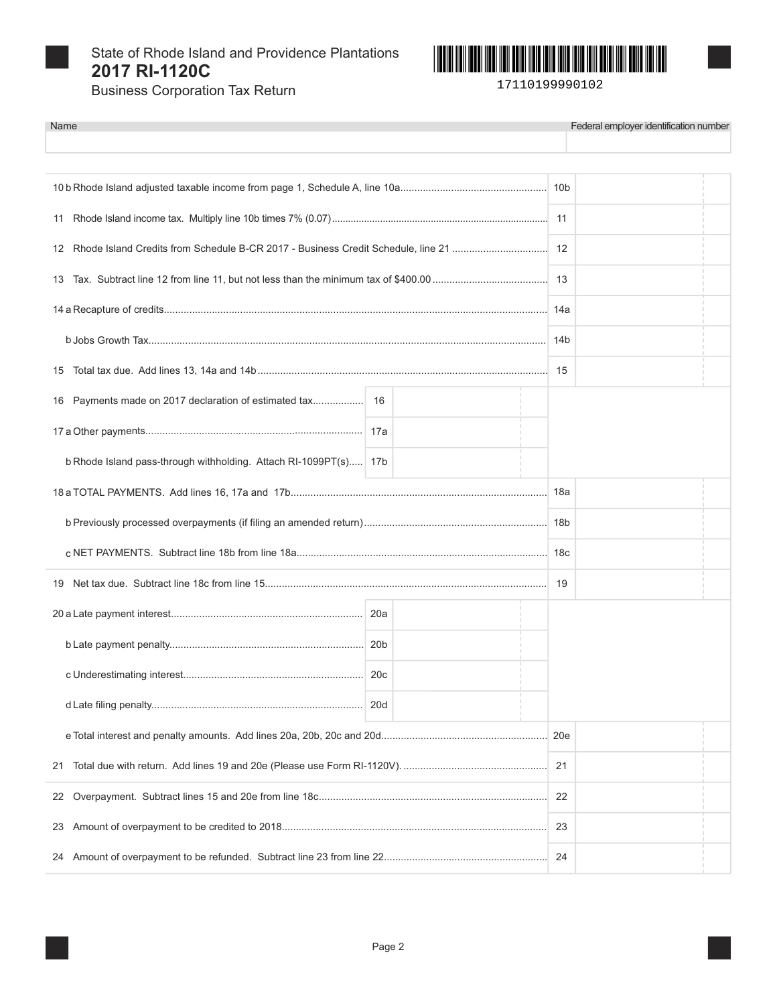

State of Rhode Island and Providence Plantations 2017 RI-1120C



17110199990102

**Business Corporation Tax Return** 

| Name                                                             |                 |     | Federal employer identification number |
|------------------------------------------------------------------|-----------------|-----|----------------------------------------|
|                                                                  |                 |     |                                        |
|                                                                  |                 |     |                                        |
|                                                                  |                 |     |                                        |
|                                                                  |                 |     |                                        |
| 13                                                               |                 |     |                                        |
|                                                                  |                 |     |                                        |
|                                                                  |                 | 14b |                                        |
| 15                                                               |                 |     |                                        |
| 16                                                               |                 |     |                                        |
|                                                                  |                 |     |                                        |
| b Rhode Island pass-through withholding. Attach RI-1099PT(s) 17b |                 |     |                                        |
|                                                                  |                 |     |                                        |
|                                                                  |                 |     |                                        |
|                                                                  |                 |     |                                        |
|                                                                  |                 | 19  |                                        |
|                                                                  |                 |     |                                        |
|                                                                  |                 |     |                                        |
|                                                                  |                 |     |                                        |
|                                                                  | 20 <sub>d</sub> |     |                                        |
|                                                                  |                 | 20e |                                        |
| 21                                                               |                 |     |                                        |
| 22                                                               |                 | 22  |                                        |
| 23                                                               |                 | 23  |                                        |
| 24                                                               |                 | 24  |                                        |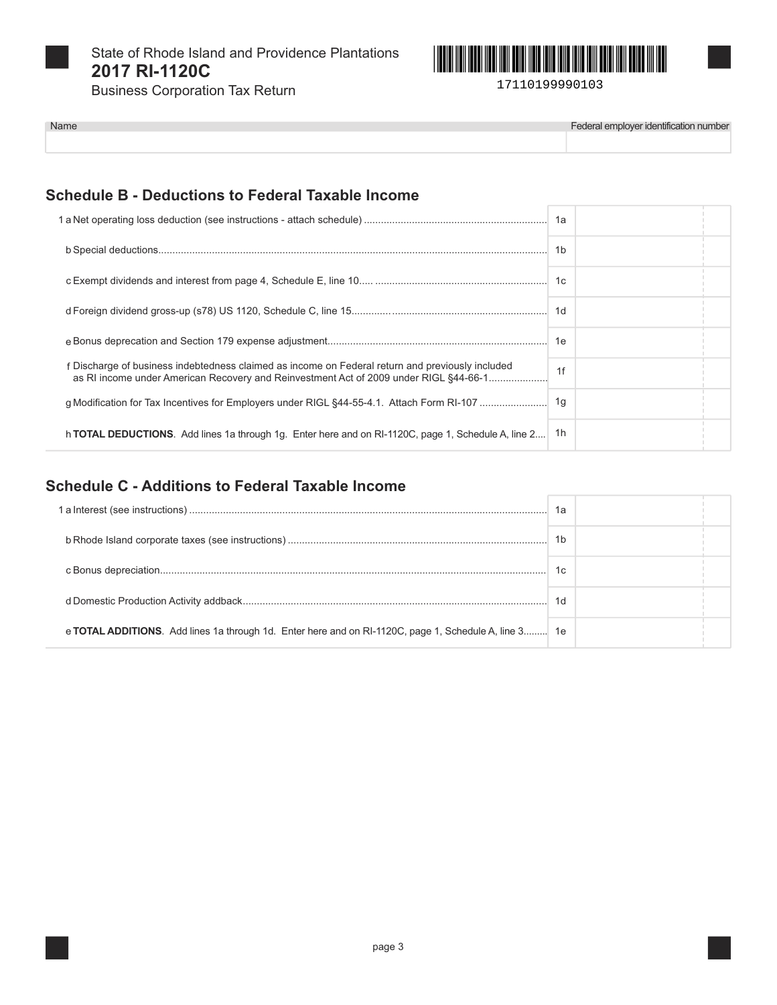

Name

State of Rhode Island and Providence Plantations 2017 RI-1120C

**Business Corporation Tax Return** 



Federal employer identification number

## **Schedule B - Deductions to Federal Taxable Income**

|                                                                                                                                                                                           | 1b |  |
|-------------------------------------------------------------------------------------------------------------------------------------------------------------------------------------------|----|--|
|                                                                                                                                                                                           |    |  |
|                                                                                                                                                                                           |    |  |
|                                                                                                                                                                                           |    |  |
| f Discharge of business indebtedness claimed as income on Federal return and previously included<br>as RI income under American Recovery and Reinvestment Act of 2009 under RIGL §44-66-1 | 1f |  |
|                                                                                                                                                                                           |    |  |
| h TOTAL DEDUCTIONS. Add lines 1a through 1g. Enter here and on RI-1120C, page 1, Schedule A, line 2                                                                                       | 1h |  |

## **Schedule C - Additions to Federal Taxable Income**

|                                                                                                       | 1a             |  |
|-------------------------------------------------------------------------------------------------------|----------------|--|
|                                                                                                       | 1 <sub>b</sub> |  |
|                                                                                                       | 1c             |  |
|                                                                                                       | 1 <sub>d</sub> |  |
| e TOTAL ADDITIONS. Add lines 1a through 1d. Enter here and on RI-1120C, page 1, Schedule A, line 3 1e |                |  |

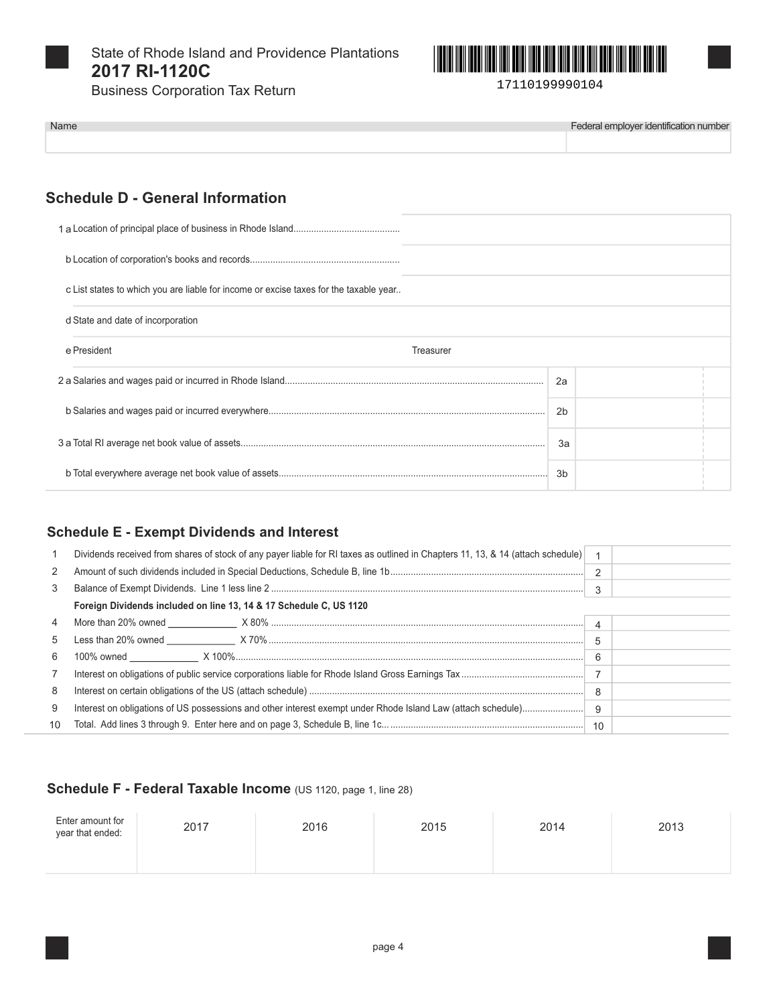

Name

State of Rhode Island and Providence Plantations 2017 RI-1120C



**Business Corporation Tax Return** 

Federal employer identification number

# **Schedule D - General Information**

| c List states to which you are liable for income or excise taxes for the taxable year |           |  |
|---------------------------------------------------------------------------------------|-----------|--|
| d State and date of incorporation                                                     |           |  |
| e President                                                                           | Treasurer |  |
|                                                                                       | 2a        |  |
|                                                                                       | 2b        |  |
|                                                                                       | 3a        |  |
|                                                                                       | 3b        |  |

### **Schedule E - Exempt Dividends and Interest**

|                | Dividends received from shares of stock of any payer liable for RI taxes as outlined in Chapters 11, 13, & 14 (attach schedule) |                       |  |
|----------------|---------------------------------------------------------------------------------------------------------------------------------|-----------------------|--|
| 2              |                                                                                                                                 | $\mathcal{P}$         |  |
| 3              |                                                                                                                                 | 3                     |  |
|                | Foreign Dividends included on line 13, 14 & 17 Schedule C, US 1120                                                              |                       |  |
| 4              |                                                                                                                                 | $\boldsymbol{\Delta}$ |  |
| 5              |                                                                                                                                 | 5                     |  |
| 6              |                                                                                                                                 | 6                     |  |
| $\overline{7}$ |                                                                                                                                 |                       |  |
| 8              |                                                                                                                                 | 8                     |  |
| 9              | Interest on obligations of US possessions and other interest exempt under Rhode Island Law (attach schedule)                    | 9                     |  |
| 10             |                                                                                                                                 |                       |  |

### Schedule F - Federal Taxable Income (US 1120, page 1, line 28)

| Enter amount for<br>year that ended: | 2017 | 2016 | 2015 | 2014 | 2013 |
|--------------------------------------|------|------|------|------|------|
|                                      |      |      |      |      |      |